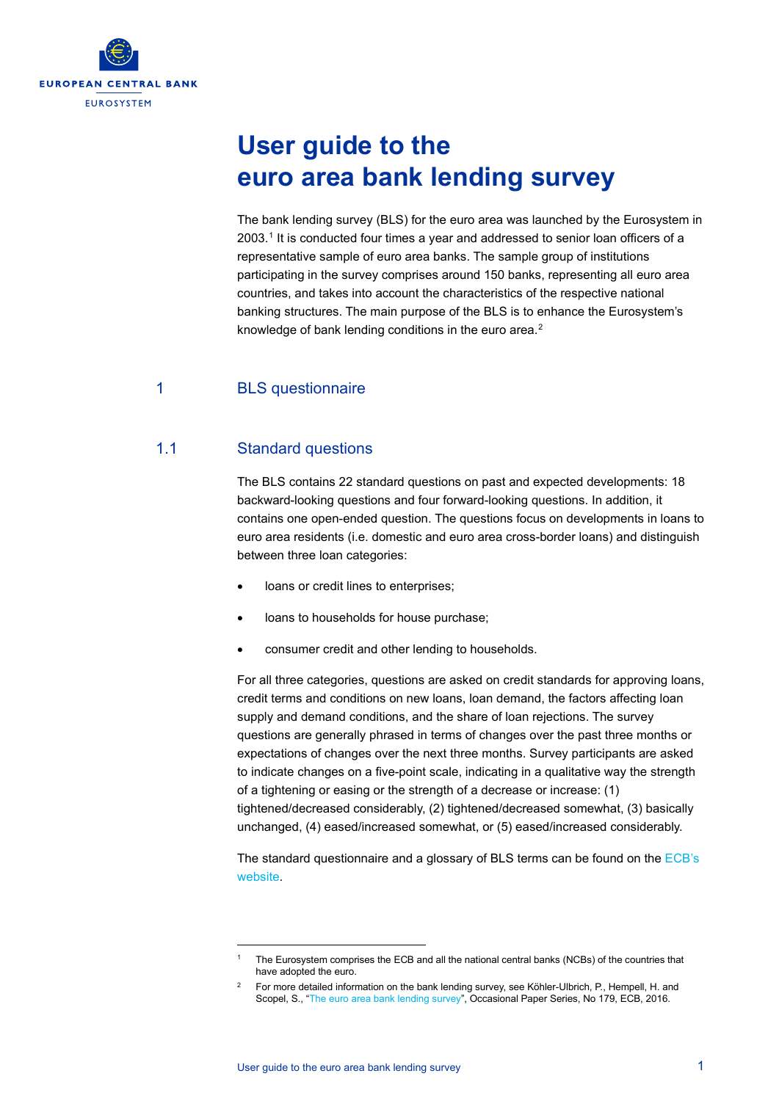

# **User guide to the euro area bank lending survey**

The bank lending survey (BLS) for the euro area was launched by the Eurosystem in 2003. [1](#page-0-0) It is conducted four times a year and addressed to senior loan officers of a representative sample of euro area banks. The sample group of institutions participating in the survey comprises around 150 banks, representing all euro area countries, and takes into account the characteristics of the respective national banking structures. The main purpose of the BLS is to enhance the Eurosystem's knowledge of bank lending conditions in the euro area.<sup>[2](#page-0-1)</sup>

# 1 BLS questionnaire

# 1.1 Standard questions

The BLS contains 22 standard questions on past and expected developments: 18 backward-looking questions and four forward-looking questions. In addition, it contains one open-ended question. The questions focus on developments in loans to euro area residents (i.e. domestic and euro area cross-border loans) and distinguish between three loan categories:

- loans or credit lines to enterprises;
- loans to households for house purchase;
- consumer credit and other lending to households.

For all three categories, questions are asked on credit standards for approving loans, credit terms and conditions on new loans, loan demand, the factors affecting loan supply and demand conditions, and the share of loan rejections. The survey questions are generally phrased in terms of changes over the past three months or expectations of changes over the next three months. Survey participants are asked to indicate changes on a five-point scale, indicating in a qualitative way the strength of a tightening or easing or the strength of a decrease or increase: (1) tightened/decreased considerably, (2) tightened/decreased somewhat, (3) basically unchanged, (4) eased/increased somewhat, or (5) eased/increased considerably.

The standard questionnaire and a glossary of BLS terms can be found on the [ECB's](http://www.ecb.europa.eu/stats/ecb_surveys/bank_lending_survey/html/index.en.html) [website.](http://www.ecb.europa.eu/stats/ecb_surveys/bank_lending_survey/html/index.en.html)

<span id="page-0-0"></span><sup>1</sup> The Eurosystem comprises the ECB and all the national central banks (NCBs) of the countries that have adopted the euro.

<span id="page-0-1"></span><sup>&</sup>lt;sup>2</sup> For more detailed information on the bank lending survey, see Köhler-Ulbrich, P., Hempell, H. and Scopel, S., ["The euro area bank lending survey",](http://www.ecb.europa.eu/pub/pdf/scpops/ecbop179.en.pdf) Occasional Paper Series, No 179, ECB, 2016.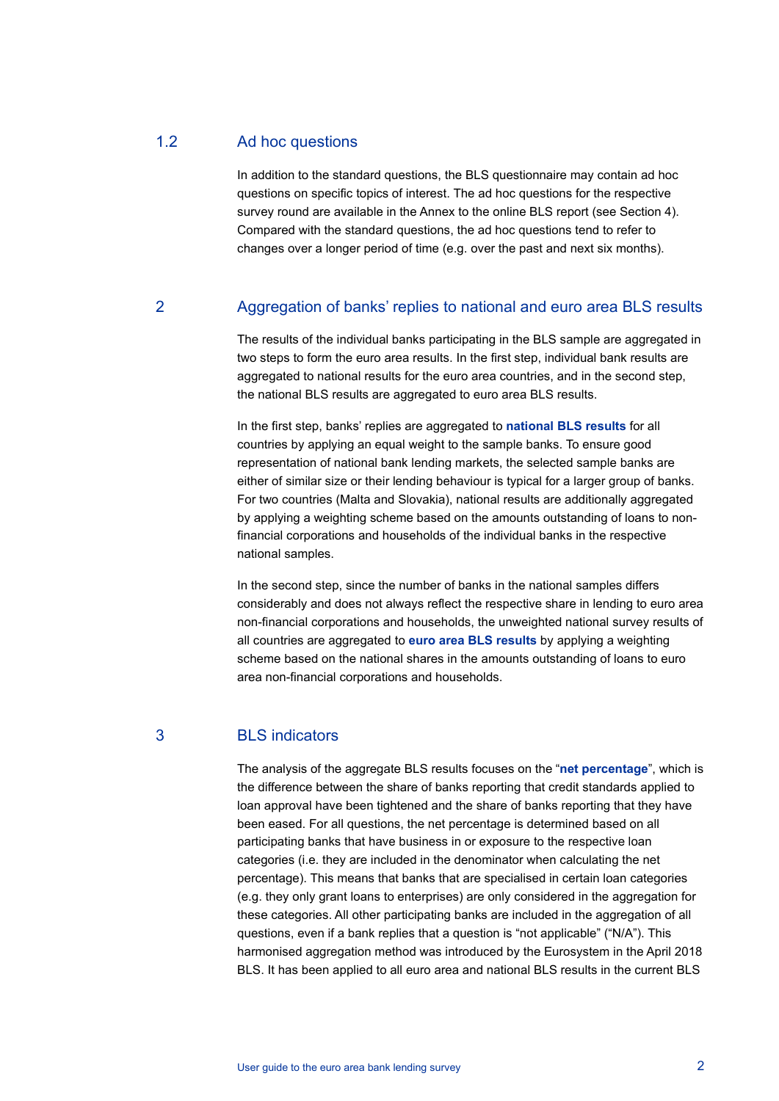#### 1.2 Ad hoc questions

In addition to the standard questions, the BLS questionnaire may contain ad hoc questions on specific topics of interest. The ad hoc questions for the respective survey round are available in the Annex to the online BLS report (see Section 4). Compared with the standard questions, the ad hoc questions tend to refer to changes over a longer period of time (e.g. over the past and next six months).

#### 2 Aggregation of banks' replies to national and euro area BLS results

The results of the individual banks participating in the BLS sample are aggregated in two steps to form the euro area results. In the first step, individual bank results are aggregated to national results for the euro area countries, and in the second step, the national BLS results are aggregated to euro area BLS results.

In the first step, banks' replies are aggregated to **national BLS results** for all countries by applying an equal weight to the sample banks. To ensure good representation of national bank lending markets, the selected sample banks are either of similar size or their lending behaviour is typical for a larger group of banks. For two countries (Malta and Slovakia), national results are additionally aggregated by applying a weighting scheme based on the amounts outstanding of loans to nonfinancial corporations and households of the individual banks in the respective national samples.

In the second step, since the number of banks in the national samples differs considerably and does not always reflect the respective share in lending to euro area non-financial corporations and households, the unweighted national survey results of all countries are aggregated to **euro area BLS results** by applying a weighting scheme based on the national shares in the amounts outstanding of loans to euro area non-financial corporations and households.

#### 3 BLS indicators

The analysis of the aggregate BLS results focuses on the "**net percentage**", which is the difference between the share of banks reporting that credit standards applied to loan approval have been tightened and the share of banks reporting that they have been eased. For all questions, the net percentage is determined based on all participating banks that have business in or exposure to the respective loan categories (i.e. they are included in the denominator when calculating the net percentage). This means that banks that are specialised in certain loan categories (e.g. they only grant loans to enterprises) are only considered in the aggregation for these categories. All other participating banks are included in the aggregation of all questions, even if a bank replies that a question is "not applicable" ("N/A"). This harmonised aggregation method was introduced by the Eurosystem in the April 2018 BLS. It has been applied to all euro area and national BLS results in the current BLS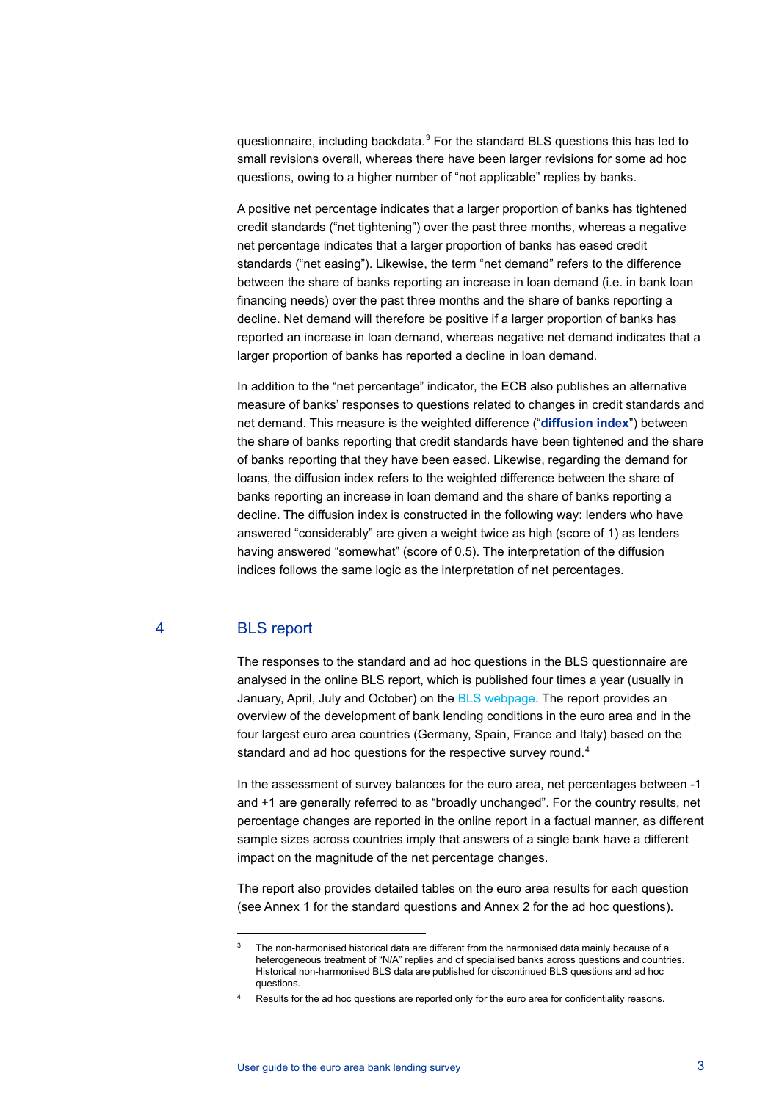questionnaire, including backdata.[3](#page-2-0) For the standard BLS questions this has led to small revisions overall, whereas there have been larger revisions for some ad hoc questions, owing to a higher number of "not applicable" replies by banks.

A positive net percentage indicates that a larger proportion of banks has tightened credit standards ("net tightening") over the past three months, whereas a negative net percentage indicates that a larger proportion of banks has eased credit standards ("net easing"). Likewise, the term "net demand" refers to the difference between the share of banks reporting an increase in loan demand (i.e. in bank loan financing needs) over the past three months and the share of banks reporting a decline. Net demand will therefore be positive if a larger proportion of banks has reported an increase in loan demand, whereas negative net demand indicates that a larger proportion of banks has reported a decline in loan demand.

In addition to the "net percentage" indicator, the ECB also publishes an alternative measure of banks' responses to questions related to changes in credit standards and net demand. This measure is the weighted difference ("**diffusion index**") between the share of banks reporting that credit standards have been tightened and the share of banks reporting that they have been eased. Likewise, regarding the demand for loans, the diffusion index refers to the weighted difference between the share of banks reporting an increase in loan demand and the share of banks reporting a decline. The diffusion index is constructed in the following way: lenders who have answered "considerably" are given a weight twice as high (score of 1) as lenders having answered "somewhat" (score of 0.5). The interpretation of the diffusion indices follows the same logic as the interpretation of net percentages.

### 4 BLS report

The responses to the standard and ad hoc questions in the BLS questionnaire are analysed in the online BLS report, which is published four times a year (usually in January, April, July and October) on the **BLS** webpage. The report provides an overview of the development of bank lending conditions in the euro area and in the four largest euro area countries (Germany, Spain, France and Italy) based on the standard and ad hoc questions for the respective survey round.<sup>[4](#page-2-1)</sup>

In the assessment of survey balances for the euro area, net percentages between -1 and +1 are generally referred to as "broadly unchanged". For the country results, net percentage changes are reported in the online report in a factual manner, as different sample sizes across countries imply that answers of a single bank have a different impact on the magnitude of the net percentage changes.

The report also provides detailed tables on the euro area results for each question (see Annex 1 for the standard questions and Annex 2 for the ad hoc questions).

<span id="page-2-0"></span>The non-harmonised historical data are different from the harmonised data mainly because of a heterogeneous treatment of "N/A" replies and of specialised banks across questions and countries. Historical non-harmonised BLS data are published for discontinued BLS questions and ad hoc questions.

<span id="page-2-1"></span>Results for the ad hoc questions are reported only for the euro area for confidentiality reasons.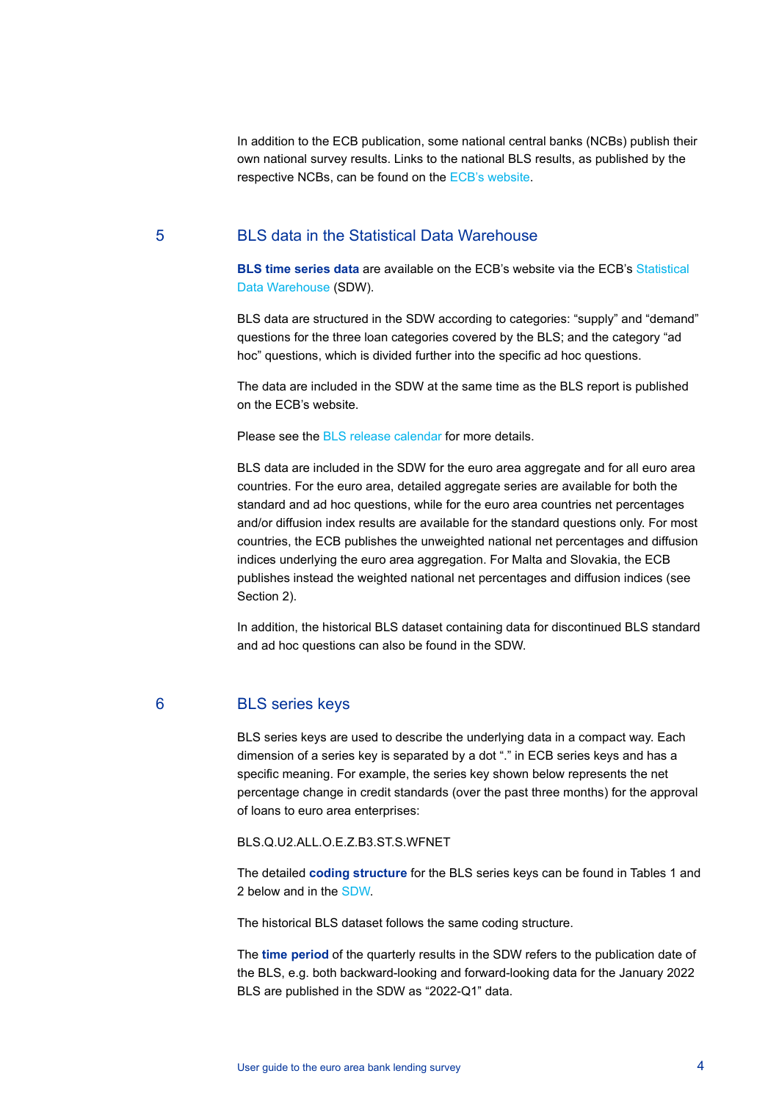In addition to the ECB publication, some national central banks (NCBs) publish their own national survey results. Links to the national BLS results, as published by the respective NCBs, can be found on the ECB's [website.](http://www.ecb.europa.eu/stats/ecb_surveys/bank_lending_survey/html/index.en.html)

#### 5 BLS data in the Statistical Data Warehouse

**BLS time series data** are available on the ECB's website via the ECB's [Statistical](http://sdw.ecb.europa.eu/browse.do?node=9691151)  [Data Warehouse](http://sdw.ecb.europa.eu/browse.do?node=9691151) (SDW).

BLS data are structured in the SDW according to categories: "supply" and "demand" questions for the three loan categories covered by the BLS; and the category "ad hoc" questions, which is divided further into the specific ad hoc questions.

The data are included in the SDW at the same time as the BLS report is published on the ECB's website.

Please see the [BLS release calendar](https://www.ecb.europa.eu/press/calendars/statscal/mfm/html/stpbls.en.html) for more details.

BLS data are included in the SDW for the euro area aggregate and for all euro area countries. For the euro area, detailed aggregate series are available for both the standard and ad hoc questions, while for the euro area countries net percentages and/or diffusion index results are available for the standard questions only. For most countries, the ECB publishes the unweighted national net percentages and diffusion indices underlying the euro area aggregation. For Malta and Slovakia, the ECB publishes instead the weighted national net percentages and diffusion indices (see Section 2).

In addition, the historical BLS dataset containing data for discontinued BLS standard and ad hoc questions can also be found in the SDW.

#### 6 BLS series keys

BLS series keys are used to describe the underlying data in a compact way. Each dimension of a series key is separated by a dot "." in ECB series keys and has a specific meaning. For example, the series key shown below represents the net percentage change in credit standards (over the past three months) for the approval of loans to euro area enterprises:

BLS.Q.U2.ALL.O.E.Z.B3.ST.S.WFNET

The detailed **coding structure** for the BLS series keys can be found in Tables 1 and 2 below and in the [SDW.](http://sdw.ecb.europa.eu/datastructure.do?datasetinstanceid=258)

The historical BLS dataset follows the same coding structure.

The **time period** of the quarterly results in the SDW refers to the publication date of the BLS, e.g. both backward-looking and forward-looking data for the January 2022 BLS are published in the SDW as "2022-Q1" data.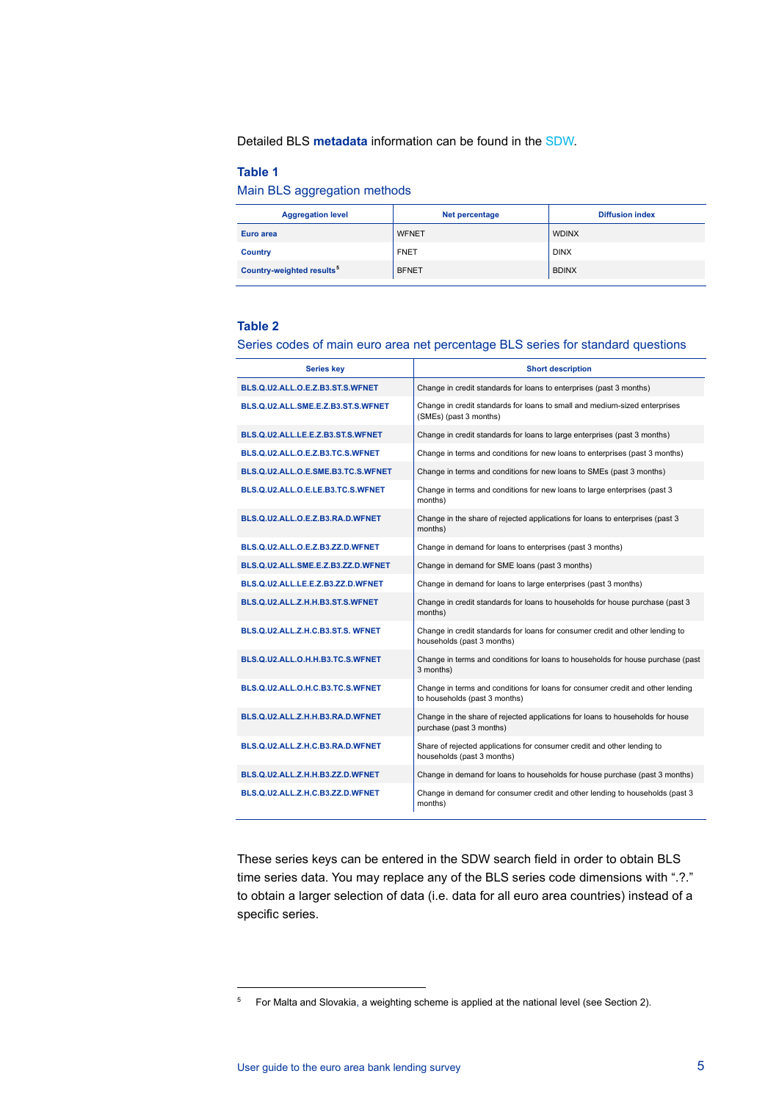Detailed BLS **metadata** information can be found in the [SDW.](http://sdw.ecb.europa.eu/browseExplanation.do?node=1537)

#### **Table 1**

Main BLS aggregation methods

| <b>Aggregation level</b>              | Net percentage | <b>Diffusion index</b> |
|---------------------------------------|----------------|------------------------|
| Euro area                             | <b>WFNET</b>   | <b>WDINX</b>           |
| <b>Country</b>                        | <b>FNET</b>    | <b>DINX</b>            |
| Country-weighted results <sup>5</sup> | <b>BFNET</b>   | <b>BDINX</b>           |

#### **Table 2**

Series codes of main euro area net percentage BLS series for standard questions

| <b>Series key</b>                  | <b>Short description</b>                                                                                        |
|------------------------------------|-----------------------------------------------------------------------------------------------------------------|
| BLS.Q.U2.ALL.O.E.Z.B3.ST.S.WFNET   | Change in credit standards for loans to enterprises (past 3 months)                                             |
| BLS.Q.U2.ALL.SME.E.Z.B3.ST.S.WFNET | Change in credit standards for loans to small and medium-sized enterprises<br>(SMEs) (past 3 months)            |
| BLS.Q.U2.ALL.LE.E.Z.B3.ST.S.WFNET  | Change in credit standards for loans to large enterprises (past 3 months)                                       |
| BLS.Q.U2.ALL.O.E.Z.B3.TC.S.WFNET   | Change in terms and conditions for new loans to enterprises (past 3 months)                                     |
| BLS.Q.U2.ALL.O.E.SME.B3.TC.S.WFNET | Change in terms and conditions for new loans to SMEs (past 3 months)                                            |
| BLS.Q.U2.ALL.O.E.LE.B3.TC.S.WFNET  | Change in terms and conditions for new loans to large enterprises (past 3<br>months)                            |
| BLS.Q.U2.ALL.O.E.Z.B3.RA.D.WFNET   | Change in the share of rejected applications for loans to enterprises (past 3<br>months)                        |
| BLS.Q.U2.ALL.O.E.Z.B3.ZZ.D.WFNET   | Change in demand for loans to enterprises (past 3 months)                                                       |
| BLS.Q.U2.ALL.SME.E.Z.B3.ZZ.D.WFNET | Change in demand for SME loans (past 3 months)                                                                  |
| BLS.Q.U2.ALL.LE.E.Z.B3.ZZ.D.WFNET  | Change in demand for loans to large enterprises (past 3 months)                                                 |
| BLS.Q.U2.ALL.Z.H.H.B3.ST.S.WFNET   | Change in credit standards for loans to households for house purchase (past 3<br>months)                        |
| BLS.Q.U2.ALL.Z.H.C.B3.ST.S. WFNET  | Change in credit standards for loans for consumer credit and other lending to<br>households (past 3 months)     |
| BLS.Q.U2.ALL.O.H.H.B3.TC.S.WFNET   | Change in terms and conditions for loans to households for house purchase (past<br>3 months)                    |
| BLS.Q.U2.ALL.O.H.C.B3.TC.S.WFNET   | Change in terms and conditions for loans for consumer credit and other lending<br>to households (past 3 months) |
| BLS.Q.U2.ALL.Z.H.H.B3.RA.D.WFNET   | Change in the share of rejected applications for loans to households for house<br>purchase (past 3 months)      |
| BLS.Q.U2.ALL.Z.H.C.B3.RA.D.WFNET   | Share of rejected applications for consumer credit and other lending to<br>households (past 3 months)           |
| BLS.Q.U2.ALL.Z.H.H.B3.ZZ.D.WFNET   | Change in demand for loans to households for house purchase (past 3 months)                                     |
| BLS.Q.U2.ALL.Z.H.C.B3.ZZ.D.WFNET   | Change in demand for consumer credit and other lending to households (past 3<br>months)                         |

These series keys can be entered in the SDW search field in order to obtain BLS time series data. You may replace any of the BLS series code dimensions with ".?." to obtain a larger selection of data (i.e. data for all euro area countries) instead of a specific series.

<span id="page-4-0"></span> $5$  For Malta and Slovakia, a weighting scheme is applied at the national level (see Section 2).